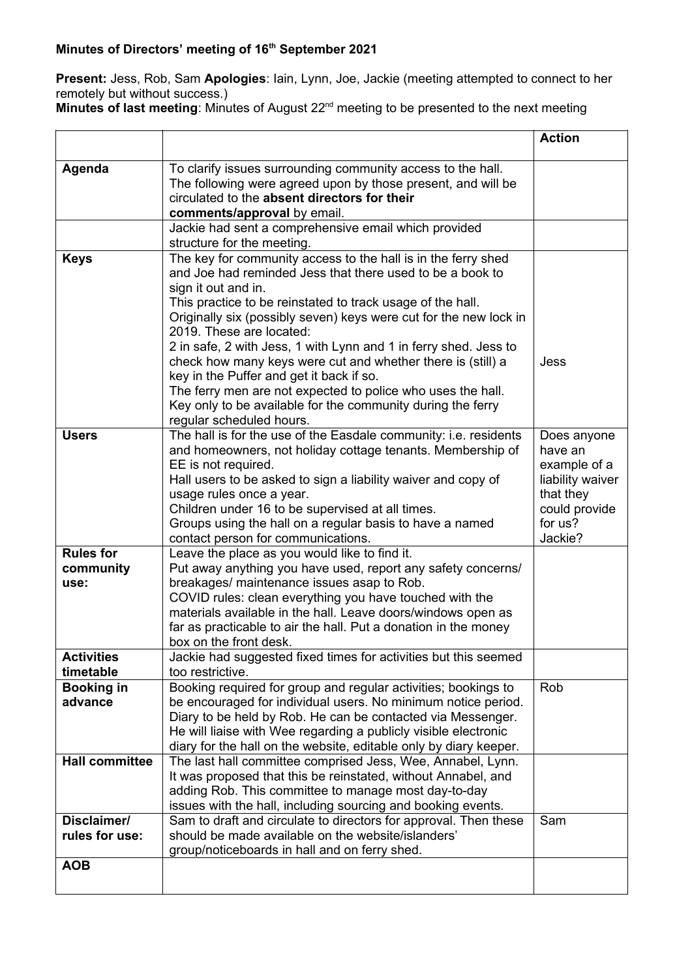**Present:** Jess, Rob, Sam **Apologies**: Iain, Lynn, Joe, Jackie (meeting attempted to connect to her remotely but without success.)

**Minutes of last meeting**: Minutes of August 22nd meeting to be presented to the next meeting

|                                       |                                                                                                                                                                                                                                                                                                                                                                                                                                                                                                                                                                                                                                                           | <b>Action</b>                                                                                                  |
|---------------------------------------|-----------------------------------------------------------------------------------------------------------------------------------------------------------------------------------------------------------------------------------------------------------------------------------------------------------------------------------------------------------------------------------------------------------------------------------------------------------------------------------------------------------------------------------------------------------------------------------------------------------------------------------------------------------|----------------------------------------------------------------------------------------------------------------|
| Agenda                                | To clarify issues surrounding community access to the hall.<br>The following were agreed upon by those present, and will be<br>circulated to the absent directors for their<br>comments/approval by email.                                                                                                                                                                                                                                                                                                                                                                                                                                                |                                                                                                                |
|                                       | Jackie had sent a comprehensive email which provided<br>structure for the meeting.                                                                                                                                                                                                                                                                                                                                                                                                                                                                                                                                                                        |                                                                                                                |
| <b>Keys</b>                           | The key for community access to the hall is in the ferry shed<br>and Joe had reminded Jess that there used to be a book to<br>sign it out and in.<br>This practice to be reinstated to track usage of the hall.<br>Originally six (possibly seven) keys were cut for the new lock in<br>2019. These are located:<br>2 in safe, 2 with Jess, 1 with Lynn and 1 in ferry shed. Jess to<br>check how many keys were cut and whether there is (still) a<br>key in the Puffer and get it back if so.<br>The ferry men are not expected to police who uses the hall.<br>Key only to be available for the community during the ferry<br>regular scheduled hours. | Jess                                                                                                           |
| <b>Users</b>                          | The hall is for the use of the Easdale community: i.e. residents<br>and homeowners, not holiday cottage tenants. Membership of<br>EE is not required.<br>Hall users to be asked to sign a liability waiver and copy of<br>usage rules once a year.<br>Children under 16 to be supervised at all times.<br>Groups using the hall on a regular basis to have a named<br>contact person for communications.                                                                                                                                                                                                                                                  | Does anyone<br>have an<br>example of a<br>liability waiver<br>that they<br>could provide<br>for us?<br>Jackie? |
| <b>Rules for</b><br>community<br>use: | Leave the place as you would like to find it.<br>Put away anything you have used, report any safety concerns/<br>breakages/ maintenance issues asap to Rob.<br>COVID rules: clean everything you have touched with the<br>materials available in the hall. Leave doors/windows open as<br>far as practicable to air the hall. Put a donation in the money<br>box on the front desk.                                                                                                                                                                                                                                                                       |                                                                                                                |
| <b>Activities</b><br>timetable        | Jackie had suggested fixed times for activities but this seemed<br>too restrictive.                                                                                                                                                                                                                                                                                                                                                                                                                                                                                                                                                                       |                                                                                                                |
| <b>Booking in</b><br>advance          | Booking required for group and regular activities; bookings to<br>be encouraged for individual users. No minimum notice period.<br>Diary to be held by Rob. He can be contacted via Messenger.<br>He will liaise with Wee regarding a publicly visible electronic<br>diary for the hall on the website, editable only by diary keeper.                                                                                                                                                                                                                                                                                                                    | Rob                                                                                                            |
| <b>Hall committee</b>                 | The last hall committee comprised Jess, Wee, Annabel, Lynn.<br>It was proposed that this be reinstated, without Annabel, and<br>adding Rob. This committee to manage most day-to-day<br>issues with the hall, including sourcing and booking events.                                                                                                                                                                                                                                                                                                                                                                                                      |                                                                                                                |
| Disclaimer/<br>rules for use:         | Sam to draft and circulate to directors for approval. Then these<br>should be made available on the website/islanders'<br>group/noticeboards in hall and on ferry shed.                                                                                                                                                                                                                                                                                                                                                                                                                                                                                   | Sam                                                                                                            |
| <b>AOB</b>                            |                                                                                                                                                                                                                                                                                                                                                                                                                                                                                                                                                                                                                                                           |                                                                                                                |